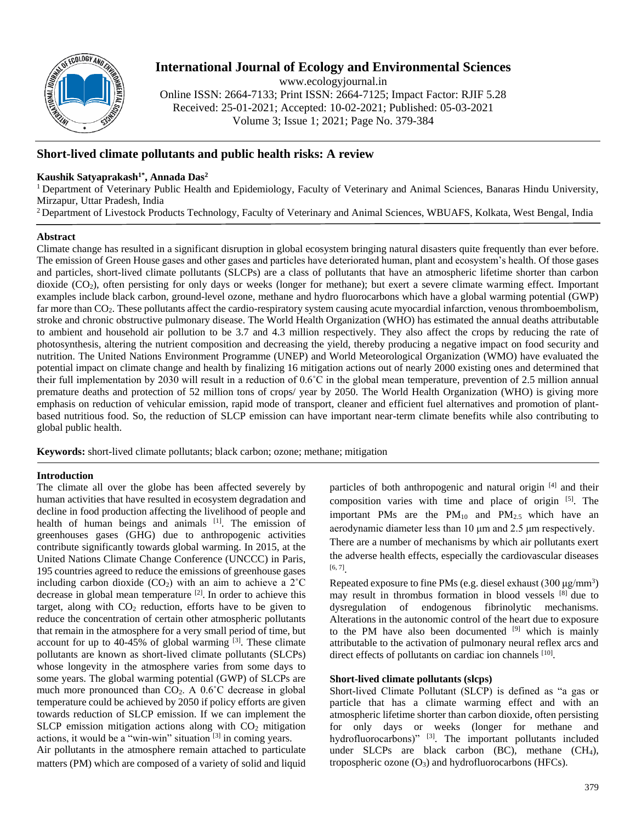

# **International Journal of Ecology and Environmental Sciences**

www.ecologyjournal.in

Online ISSN: 2664-7133; Print ISSN: 2664-7125; Impact Factor: RJIF 5.28 Received: 25-01-2021; Accepted: 10-02-2021; Published: 05-03-2021 Volume 3; Issue 1; 2021; Page No. 379-384

# **Short-lived climate pollutants and public health risks: A review**

## **Kaushik Satyaprakash1\* , Annada Das<sup>2</sup>**

<sup>1</sup> Department of Veterinary Public Health and Epidemiology, Faculty of Veterinary and Animal Sciences, Banaras Hindu University, Mirzapur, Uttar Pradesh, India

<sup>2</sup> Department of Livestock Products Technology, Faculty of Veterinary and Animal Sciences, WBUAFS, Kolkata, West Bengal, India

## **Abstract**

Climate change has resulted in a significant disruption in global ecosystem bringing natural disasters quite frequently than ever before. The emission of Green House gases and other gases and particles have deteriorated human, plant and ecosystem's health. Of those gases and particles, short-lived climate pollutants (SLCPs) are a class of pollutants that have an atmospheric lifetime shorter than carbon dioxide (CO<sub>2</sub>), often persisting for only days or weeks (longer for methane); but exert a severe climate warming effect. Important examples include black carbon, ground-level ozone, methane and hydro fluorocarbons which have a global warming potential (GWP) far more than CO<sub>2</sub>. These pollutants affect the cardio-respiratory system causing acute myocardial infarction, venous thromboembolism, stroke and chronic obstructive pulmonary disease. The World Health Organization (WHO) has estimated the annual deaths attributable to ambient and household air pollution to be 3.7 and 4.3 million respectively. They also affect the crops by reducing the rate of photosynthesis, altering the nutrient composition and decreasing the yield, thereby producing a negative impact on food security and nutrition. The United Nations Environment Programme (UNEP) and World Meteorological Organization (WMO) have evaluated the potential impact on climate change and health by finalizing 16 mitigation actions out of nearly 2000 existing ones and determined that their full implementation by 2030 will result in a reduction of 0.6˚C in the global mean temperature, prevention of 2.5 million annual premature deaths and protection of 52 million tons of crops/ year by 2050. The World Health Organization (WHO) is giving more emphasis on reduction of vehicular emission, rapid mode of transport, cleaner and efficient fuel alternatives and promotion of plantbased nutritious food. So, the reduction of SLCP emission can have important near-term climate benefits while also contributing to global public health.

**Keywords:** short-lived climate pollutants; black carbon; ozone; methane; mitigation

## **Introduction**

The climate all over the globe has been affected severely by human activities that have resulted in ecosystem degradation and decline in food production affecting the livelihood of people and health of human beings and animals [1]. The emission of greenhouses gases (GHG) due to anthropogenic activities contribute significantly towards global warming. In 2015, at the United Nations Climate Change Conference (UNCCC) in Paris, 195 countries agreed to reduce the emissions of greenhouse gases including carbon dioxide  $(CO_2)$  with an aim to achieve a  $2^{\circ}$ C decrease in global mean temperature <sup>[2]</sup>. In order to achieve this target, along with  $CO<sub>2</sub>$  reduction, efforts have to be given to reduce the concentration of certain other atmospheric pollutants that remain in the atmosphere for a very small period of time, but account for up to  $40-45\%$  of global warming  $[3]$ . These climate pollutants are known as short-lived climate pollutants (SLCPs) whose longevity in the atmosphere varies from some days to some years. The global warming potential (GWP) of SLCPs are much more pronounced than CO2. A 0.6˚C decrease in global temperature could be achieved by 2050 if policy efforts are given towards reduction of SLCP emission. If we can implement the SLCP emission mitigation actions along with  $CO<sub>2</sub>$  mitigation actions, it would be a "win-win" situation [3] in coming years. Air pollutants in the atmosphere remain attached to particulate matters (PM) which are composed of a variety of solid and liquid

particles of both anthropogenic and natural origin [4] and their composition varies with time and place of origin  $[5]$ . The important PMs are the  $PM_{10}$  and  $PM_{2.5}$  which have an aerodynamic diameter less than 10 μm and 2.5 μm respectively. There are a number of mechanisms by which air pollutants exert the adverse health effects, especially the cardiovascular diseases  $[6, 7]$ <sub>.</sub>

Repeated exposure to fine PMs (e.g. diesel exhaust  $(300 \,\mu\text{g/mm}^3)$ ) may result in thrombus formation in blood vessels [8] due to dysregulation of endogenous fibrinolytic mechanisms. Alterations in the autonomic control of the heart due to exposure to the PM have also been documented  $[9]$  which is mainly attributable to the activation of pulmonary neural reflex arcs and direct effects of pollutants on cardiac ion channels [10].

## **Short-lived climate pollutants (slcps)**

Short-lived Climate Pollutant (SLCP) is defined as "a gas or particle that has a climate warming effect and with an atmospheric lifetime shorter than carbon dioxide, often persisting for only days or weeks (longer for methane and hydrofluorocarbons)" <sup>[3]</sup>. The important pollutants included under SLCPs are black carbon (BC), methane (CH4), tropospheric ozone  $(O_3)$  and hydrofluorocarbons (HFCs).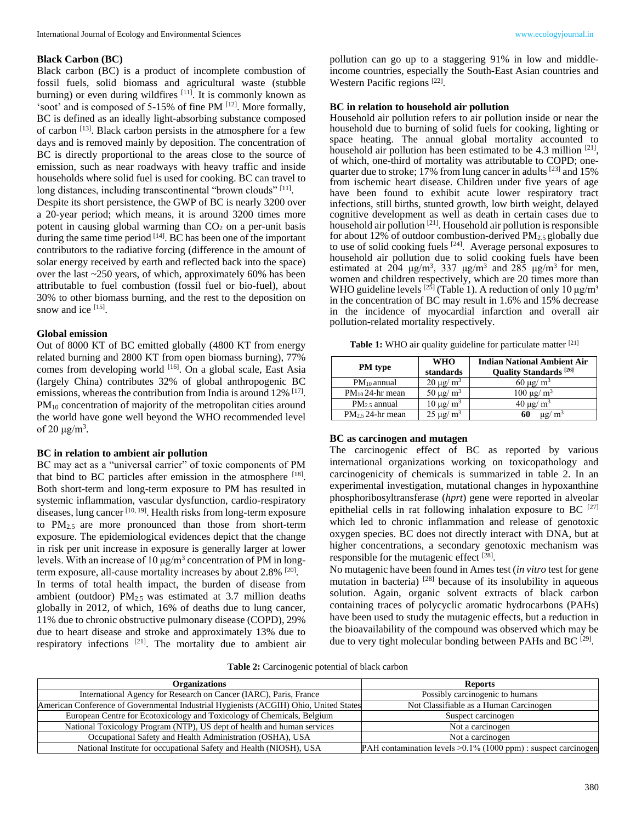#### **Black Carbon (BC)**

Black carbon (BC) is a product of incomplete combustion of fossil fuels, solid biomass and agricultural waste (stubble burning) or even during wildfires  $[11]$ . It is commonly known as 'soot' and is composed of 5-15% of fine PM [12]. More formally, BC is defined as an ideally light-absorbing substance composed of carbon [13]. Black carbon persists in the atmosphere for a few days and is removed mainly by deposition. The concentration of BC is directly proportional to the areas close to the source of emission, such as near roadways with heavy traffic and inside households where solid fuel is used for cooking. BC can travel to long distances, including transcontinental "brown clouds" [11].

Despite its short persistence, the GWP of BC is nearly 3200 over a 20-year period; which means, it is around 3200 times more potent in causing global warming than  $CO<sub>2</sub>$  on a per-unit basis during the same time period  $[14]$ . BC has been one of the important contributors to the radiative forcing (difference in the amount of solar energy received by earth and reflected back into the space) over the last ~250 years, of which, approximately 60% has been attributable to fuel combustion (fossil fuel or bio-fuel), about 30% to other biomass burning, and the rest to the deposition on snow and ice [15].

#### **Global emission**

Out of 8000 KT of BC emitted globally (4800 KT from energy related burning and 2800 KT from open biomass burning), 77% comes from developing world [16]. On a global scale, East Asia (largely China) contributes 32% of global anthropogenic BC emissions, whereas the contribution from India is around 12% [17]. PM<sub>10</sub> concentration of majority of the metropolitan cities around the world have gone well beyond the WHO recommended level of 20  $\mu$ g/m<sup>3</sup>.

#### **BC in relation to ambient air pollution**

BC may act as a "universal carrier" of toxic components of PM that bind to BC particles after emission in the atmosphere [18]. Both short-term and long-term exposure to PM has resulted in systemic inflammation, vascular dysfunction, cardio-respiratory diseases, lung cancer<sup>[10, 19]</sup>. Health risks from long-term exposure to PM2.5 are more pronounced than those from short-term exposure. The epidemiological evidences depict that the change in risk per unit increase in exposure is generally larger at lower levels. With an increase of 10  $\mu$ g/m<sup>3</sup> concentration of PM in longterm exposure, all-cause mortality increases by about 2.8% [20]. In terms of total health impact, the burden of disease from ambient (outdoor) PM2.5 was estimated at 3.7 million deaths globally in 2012, of which, 16% of deaths due to lung cancer, 11% due to chronic obstructive pulmonary disease (COPD), 29% due to heart disease and stroke and approximately 13% due to respiratory infections <sup>[21]</sup>. The mortality due to ambient air

pollution can go up to a staggering 91% in low and middleincome countries, especially the South-East Asian countries and Western Pacific regions<sup>[22]</sup>.

#### **BC in relation to household air pollution**

Household air pollution refers to air pollution inside or near the household due to burning of solid fuels for cooking, lighting or space heating. The annual global mortality accounted to household air pollution has been estimated to be 4.3 million  $[21]$ , of which, one-third of mortality was attributable to COPD; onequarter due to stroke; 17% from lung cancer in adults <sup>[23]</sup> and 15% from ischemic heart disease. Children under five years of age have been found to exhibit acute lower respiratory tract infections, still births, stunted growth, low birth weight, delayed cognitive development as well as death in certain cases due to household air pollution<sup>[21]</sup>. Household air pollution is responsible for about 12% of outdoor combustion-derived  $PM_{2.5}$  globally due to use of solid cooking fuels  $[24]$ . Average personal exposures to household air pollution due to solid cooking fuels have been estimated at  $204 \text{ }\mu\text{g/m}^3$ , 337  $\mu\text{g/m}^3$  and  $285 \text{ }\mu\text{g/m}^3$  for men, women and children respectively, which are 20 times more than WHO guideline levels <sup>[25]</sup> (Table 1). A reduction of only 10  $\mu$ g/m<sup>3</sup> in the concentration of BC may result in 1.6% and 15% decrease in the incidence of myocardial infarction and overall air pollution-related mortality respectively.

| Table 1: WHO air quality guideline for particulate matter [21] |  |  |  |  |  |  |  |  |  |
|----------------------------------------------------------------|--|--|--|--|--|--|--|--|--|
|----------------------------------------------------------------|--|--|--|--|--|--|--|--|--|

| <b>PM</b> type       | <b>WHO</b><br>standards        | <b>Indian National Ambient Air</b><br>Quality Standards <sup>[26]</sup> |
|----------------------|--------------------------------|-------------------------------------------------------------------------|
| $PM_{10}$ annual     | $20 \mu g/m^3$                 | $60 \text{ µg/m}^3$                                                     |
| $PM_{10}$ 24-hr mean | $50 \text{ µg/m}^3$            | $100 \mu g/m^3$                                                         |
| $PM2.5$ annual       | $10 \mu g/m^3$                 | $40 \text{ µg/m}^3$                                                     |
| $PM2.524-hr$ mean    | $\frac{\text{lg}}{\text{m}^3}$ | $\mu$ g/ m <sup>3</sup><br>60                                           |

#### **BC as carcinogen and mutagen**

The carcinogenic effect of BC as reported by various international organizations working on toxicopathology and carcinogenicity of chemicals is summarized in table 2. In an experimental investigation, mutational changes in hypoxanthine phosphoribosyltransferase (*hprt*) gene were reported in alveolar epithelial cells in rat following inhalation exposure to BC  $^{[27]}$ which led to chronic inflammation and release of genotoxic oxygen species. BC does not directly interact with DNA, but at higher concentrations, a secondary genotoxic mechanism was responsible for the mutagenic effect [28].

No mutagenic have been found in Ames test (*in vitro* test for gene mutation in bacteria)  $[28]$  because of its insolubility in aqueous solution. Again, organic solvent extracts of black carbon containing traces of polycyclic aromatic hydrocarbons (PAHs) have been used to study the mutagenic effects, but a reduction in the bioavailability of the compound was observed which may be due to very tight molecular bonding between PAHs and BC<sup>[29]</sup>.

**Table 2:** Carcinogenic potential of black carbon

| <b>Organizations</b>                                                                  | <b>Reports</b>                                                 |
|---------------------------------------------------------------------------------------|----------------------------------------------------------------|
| International Agency for Research on Cancer (IARC), Paris, France                     | Possibly carcinogenic to humans                                |
| American Conference of Governmental Industrial Hygienists (ACGIH) Ohio, United States | Not Classifiable as a Human Carcinogen                         |
| European Centre for Ecotoxicology and Toxicology of Chemicals, Belgium                | Suspect carcinogen                                             |
| National Toxicology Program (NTP), US dept of health and human services               | Not a carcinogen                                               |
| Occupational Safety and Health Administration (OSHA), USA                             | Not a carcinogen                                               |
| National Institute for occupational Safety and Health (NIOSH), USA                    | PAH contamination levels >0.1% (1000 ppm) : suspect carcinogen |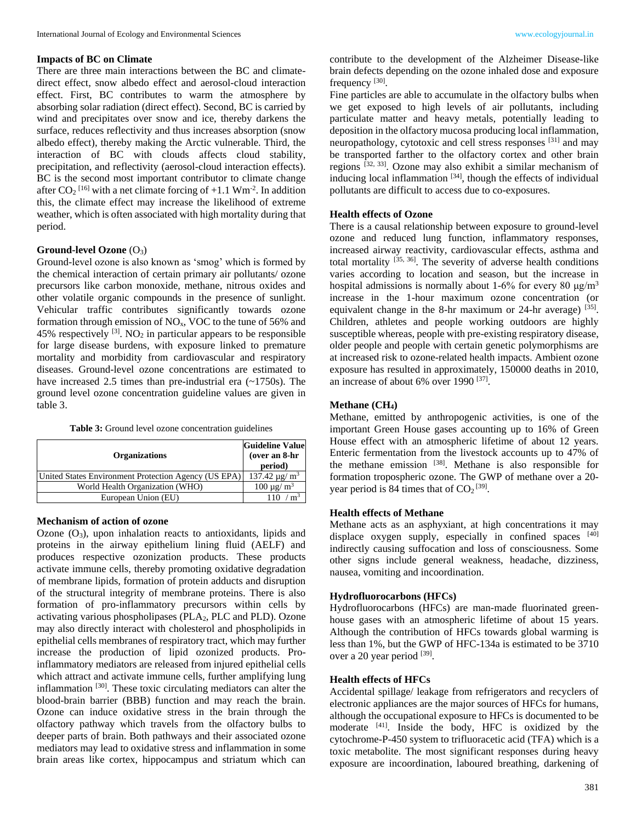### **Impacts of BC on Climate**

There are three main interactions between the BC and climatedirect effect, snow albedo effect and aerosol-cloud interaction effect. First, BC contributes to warm the atmosphere by absorbing solar radiation (direct effect). Second, BC is carried by wind and precipitates over snow and ice, thereby darkens the surface, reduces reflectivity and thus increases absorption (snow albedo effect), thereby making the Arctic vulnerable. Third, the interaction of BC with clouds affects cloud stability, precipitation, and reflectivity (aerosol-cloud interaction effects). BC is the second most important contributor to climate change after  $CO_2$ <sup>[16]</sup> with a net climate forcing of +1.1 Wm<sup>-2</sup>. In addition this, the climate effect may increase the likelihood of extreme weather, which is often associated with high mortality during that period.

## **Ground-level Ozone** (O3)

Ground-level ozone is also known as 'smog' which is formed by the chemical interaction of certain primary air pollutants/ ozone precursors like carbon monoxide, methane, nitrous oxides and other volatile organic compounds in the presence of sunlight. Vehicular traffic contributes significantly towards ozone formation through emission of  $NO<sub>x</sub>$ , VOC to the tune of 56% and 45% respectively  $^{[3]}$ . NO<sub>2</sub> in particular appears to be responsible for large disease burdens, with exposure linked to premature mortality and morbidity from cardiovascular and respiratory diseases. Ground-level ozone concentrations are estimated to have increased 2.5 times than pre-industrial era (~1750s). The ground level ozone concentration guideline values are given in table 3.

**Table 3:** Ground level ozone concentration guidelines

| <b>Organizations</b>                                 | <b>Guideline Value</b><br>(over an 8-hr<br>period) |
|------------------------------------------------------|----------------------------------------------------|
| United States Environment Protection Agency (US EPA) | 137.42 $\mu$ g/ m <sup>3</sup>                     |
| World Health Organization (WHO)                      | $100 \mu g/m^3$                                    |
| European Union (EU)                                  |                                                    |

### **Mechanism of action of ozone**

Ozone  $(O_3)$ , upon inhalation reacts to antioxidants, lipids and proteins in the airway epithelium lining fluid (AELF) and produces respective ozonization products. These products activate immune cells, thereby promoting oxidative degradation of membrane lipids, formation of protein adducts and disruption of the structural integrity of membrane proteins. There is also formation of pro-inflammatory precursors within cells by activating various phospholipases ( $PLA_2$ ,  $PLC$  and  $PLD$ ). Ozone may also directly interact with cholesterol and phospholipids in epithelial cells membranes of respiratory tract, which may further increase the production of lipid ozonized products. Proinflammatory mediators are released from injured epithelial cells which attract and activate immune cells, further amplifying lung inflammation [30]. These toxic circulating mediators can alter the blood-brain barrier (BBB) function and may reach the brain. Ozone can induce oxidative stress in the brain through the olfactory pathway which travels from the olfactory bulbs to deeper parts of brain. Both pathways and their associated ozone mediators may lead to oxidative stress and inflammation in some brain areas like cortex, hippocampus and striatum which can contribute to the development of the Alzheimer Disease-like brain defects depending on the ozone inhaled dose and exposure frequency<sup>[30]</sup>.

Fine particles are able to accumulate in the olfactory bulbs when we get exposed to high levels of air pollutants, including particulate matter and heavy metals, potentially leading to deposition in the olfactory mucosa producing local inflammation, neuropathology, cytotoxic and cell stress responses [31] and may be transported farther to the olfactory cortex and other brain regions [32, 33]. Ozone may also exhibit a similar mechanism of inducing local inflammation <sup>[34]</sup>, though the effects of individual pollutants are difficult to access due to co-exposures.

### **Health effects of Ozone**

There is a causal relationship between exposure to ground-level ozone and reduced lung function, inflammatory responses, increased airway reactivity, cardiovascular effects, asthma and total mortality  $^{[35, 36]}$ . The severity of adverse health conditions varies according to location and season, but the increase in hospital admissions is normally about 1-6% for every 80  $\mu$ g/m<sup>3</sup> increase in the 1-hour maximum ozone concentration (or equivalent change in the 8-hr maximum or 24-hr average)  $^{[35]}$ . Children, athletes and people working outdoors are highly susceptible whereas, people with pre-existing respiratory disease, older people and people with certain genetic polymorphisms are at increased risk to ozone-related health impacts. Ambient ozone exposure has resulted in approximately, 150000 deaths in 2010, an increase of about 6% over 1990  $[37]$ .

## **Methane (CH4)**

Methane, emitted by anthropogenic activities, is one of the important Green House gases accounting up to 16% of Green House effect with an atmospheric lifetime of about 12 years. Enteric fermentation from the livestock accounts up to 47% of the methane emission [38]. Methane is also responsible for formation tropospheric ozone. The GWP of methane over a 20 year period is 84 times that of  $CO<sub>2</sub>$ <sup>[39]</sup>.

## **Health effects of Methane**

Methane acts as an asphyxiant, at high concentrations it may displace oxygen supply, especially in confined spaces  $[40]$ indirectly causing suffocation and loss of consciousness. Some other signs include general weakness, headache, dizziness, nausea, vomiting and incoordination.

### **Hydrofluorocarbons (HFCs)**

Hydrofluorocarbons (HFCs) are man-made fluorinated greenhouse gases with an atmospheric lifetime of about 15 years. Although the contribution of HFCs towards global warming is less than 1%, but the GWP of HFC-134a is estimated to be 3710 over a 20 year period [39].

## **Health effects of HFCs**

Accidental spillage/ leakage from refrigerators and recyclers of electronic appliances are the major sources of HFCs for humans, although the occupational exposure to HFCs is documented to be moderate [41]. Inside the body, HFC is oxidized by the cytochrome-P-450 system to trifluoracetic acid (TFA) which is a toxic metabolite. The most significant responses during heavy exposure are incoordination, laboured breathing, darkening of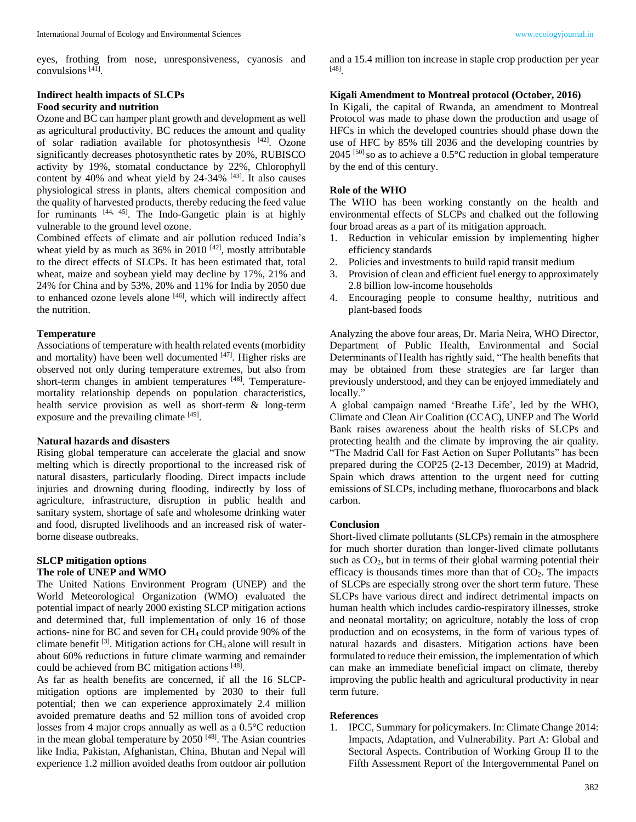eyes, frothing from nose, unresponsiveness, cyanosis and convulsions [41] .

## **Indirect health impacts of SLCPs**

#### **Food security and nutrition**

Ozone and BC can hamper plant growth and development as well as agricultural productivity. BC reduces the amount and quality of solar radiation available for photosynthesis [42]. Ozone significantly decreases photosynthetic rates by 20%, RUBISCO activity by 19%, stomatal conductance by 22%, Chlorophyll content by 40% and wheat yield by 24-34% [43]. It also causes physiological stress in plants, alters chemical composition and the quality of harvested products, thereby reducing the feed value for ruminants  $[44, 45]$ . The Indo-Gangetic plain is at highly vulnerable to the ground level ozone.

Combined effects of climate and air pollution reduced India's wheat yield by as much as  $36\%$  in  $2010^{[42]}$ , mostly attributable to the direct effects of SLCPs. It has been estimated that, total wheat, maize and soybean yield may decline by 17%, 21% and 24% for China and by 53%, 20% and 11% for India by 2050 due to enhanced ozone levels alone [46], which will indirectly affect the nutrition.

#### **Temperature**

Associations of temperature with health related events (morbidity and mortality) have been well documented  $[47]$ . Higher risks are observed not only during temperature extremes, but also from short-term changes in ambient temperatures [48]. Temperaturemortality relationship depends on population characteristics, health service provision as well as short-term & long-term exposure and the prevailing climate [49].

#### **Natural hazards and disasters**

Rising global temperature can accelerate the glacial and snow melting which is directly proportional to the increased risk of natural disasters, particularly flooding. Direct impacts include injuries and drowning during flooding, indirectly by loss of agriculture, infrastructure, disruption in public health and sanitary system, shortage of safe and wholesome drinking water and food, disrupted livelihoods and an increased risk of waterborne disease outbreaks.

# **SLCP mitigation options**

# **The role of UNEP and WMO**

The United Nations Environment Program (UNEP) and the World Meteorological Organization (WMO) evaluated the potential impact of nearly 2000 existing SLCP mitigation actions and determined that, full implementation of only 16 of those actions- nine for BC and seven for CH<sup>4</sup> could provide 90% of the climate benefit  $[3]$ . Mitigation actions for CH<sub>4</sub> alone will result in about 60% reductions in future climate warming and remainder could be achieved from BC mitigation actions [48].

As far as health benefits are concerned, if all the 16 SLCPmitigation options are implemented by 2030 to their full potential; then we can experience approximately 2.4 million avoided premature deaths and 52 million tons of avoided crop losses from 4 major crops annually as well as a 0.5°C reduction in the mean global temperature by  $2050^{[48]}$ . The Asian countries like India, Pakistan, Afghanistan, China, Bhutan and Nepal will experience 1.2 million avoided deaths from outdoor air pollution

and a 15.4 million ton increase in staple crop production per year [48] .

#### **Kigali Amendment to Montreal protocol (October, 2016)**

In Kigali, the capital of Rwanda, an amendment to Montreal Protocol was made to phase down the production and usage of HFCs in which the developed countries should phase down the use of HFC by 85% till 2036 and the developing countries by 2045 [50] so as to achieve a 0.5°C reduction in global temperature by the end of this century.

## **Role of the WHO**

The WHO has been working constantly on the health and environmental effects of SLCPs and chalked out the following four broad areas as a part of its mitigation approach.

- 1. Reduction in vehicular emission by implementing higher efficiency standards
- 2. Policies and investments to build rapid transit medium
- 3. Provision of clean and efficient fuel energy to approximately 2.8 billion low-income households
- 4. Encouraging people to consume healthy, nutritious and plant-based foods

Analyzing the above four areas, Dr. Maria Neira, WHO Director, Department of Public Health, Environmental and Social Determinants of Health has rightly said, "The health benefits that may be obtained from these strategies are far larger than previously understood, and they can be enjoyed immediately and locally."

A global campaign named 'Breathe Life', led by the WHO, Climate and Clean Air Coalition (CCAC), UNEP and The World Bank raises awareness about the health risks of SLCPs and protecting health and the climate by improving the air quality. "The Madrid Call for Fast Action on Super Pollutants" has been prepared during the COP25 (2-13 December, 2019) at Madrid, Spain which draws attention to the urgent need for cutting emissions of SLCPs, including methane, fluorocarbons and black carbon.

#### **Conclusion**

Short-lived climate pollutants (SLCPs) remain in the atmosphere for much shorter duration than longer-lived climate pollutants such as  $CO<sub>2</sub>$ , but in terms of their global warming potential their efficacy is thousands times more than that of  $CO<sub>2</sub>$ . The impacts of SLCPs are especially strong over the short term future. These SLCPs have various direct and indirect detrimental impacts on human health which includes cardio-respiratory illnesses, stroke and neonatal mortality; on agriculture, notably the loss of crop production and on ecosystems, in the form of various types of natural hazards and disasters. Mitigation actions have been formulated to reduce their emission, the implementation of which can make an immediate beneficial impact on climate, thereby improving the public health and agricultural productivity in near term future.

#### **References**

1. IPCC, Summary for policymakers. In: Climate Change 2014: Impacts, Adaptation, and Vulnerability. Part A: Global and Sectoral Aspects. Contribution of Working Group II to the Fifth Assessment Report of the Intergovernmental Panel on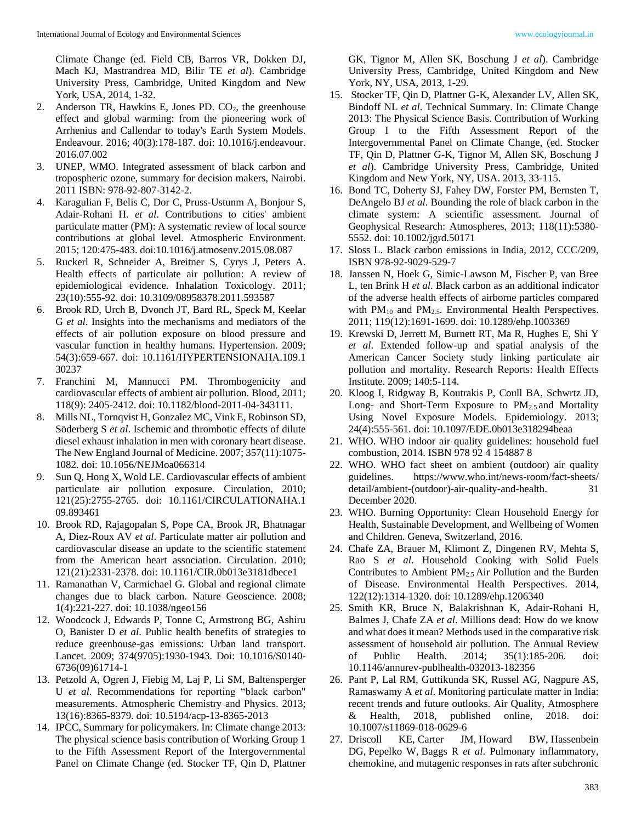Climate Change (ed. Field CB, Barros VR, Dokken DJ, Mach KJ, Mastrandrea MD, Bilir TE *et al*). Cambridge University Press, Cambridge, United Kingdom and New York, USA, 2014, 1-32.

- 2. Anderson TR, Hawkins E, Jones PD.  $CO<sub>2</sub>$ , the greenhouse effect and global warming: from the pioneering work of Arrhenius and Callendar to today's Earth System Models. Endeavour. 2016; 40(3):178-187. doi: 10.1016/j.endeavour. 2016.07.002
- 3. UNEP, WMO. Integrated assessment of black carbon and tropospheric ozone, summary for decision makers, Nairobi. 2011 ISBN: 978-92-807-3142-2.
- 4. Karagulian F, Belis C, Dor C, Pruss-Ustunm A, Bonjour S, Adair-Rohani H. *et al*. Contributions to cities' ambient particulate matter (PM): A systematic review of local source contributions at global level. Atmospheric Environment. 2015; 120:475-483. doi:10.1016/j.atmosenv.2015.08.087
- 5. Ruckerl R, Schneider A, Breitner S, Cyrys J, Peters A. Health effects of particulate air pollution: A review of epidemiological evidence. Inhalation Toxicology. 2011; 23(10):555-92. doi: 10.3109/08958378.2011.593587
- 6. Brook RD, Urch B, Dvonch JT, Bard RL, Speck M, Keelar G *et al*. Insights into the mechanisms and mediators of the effects of air pollution exposure on blood pressure and vascular function in healthy humans. Hypertension. 2009; 54(3):659-667. doi: 10.1161/HYPERTENSIONAHA.109.1 30237
- 7. Franchini M, Mannucci PM. Thrombogenicity and cardiovascular effects of ambient air pollution. Blood, 2011; 118(9): 2405-2412. doi: 10.1182/blood-2011-04-343111.
- 8. Mills NL, Tornqvist H, Gonzalez MC, Vink E, Robinson SD, Söderberg S *et al*. Ischemic and thrombotic effects of dilute diesel exhaust inhalation in men with coronary heart disease. The New England Journal of Medicine. 2007; 357(11):1075- 1082. doi: 10.1056/NEJMoa066314
- 9. Sun Q, Hong X, Wold LE. Cardiovascular effects of ambient particulate air pollution exposure. Circulation, 2010; 121(25):2755-2765. doi: 10.1161/CIRCULATIONAHA.1 09.893461
- 10. Brook RD, Rajagopalan S, Pope CA, Brook JR, Bhatnagar A, Diez-Roux AV *et al*. Particulate matter air pollution and cardiovascular disease an update to the scientific statement from the American heart association. Circulation. 2010; 121(21):2331-2378. doi: 10.1161/CIR.0b013e3181dbece1
- 11. Ramanathan V, Carmichael G. Global and regional climate changes due to black carbon. Nature Geoscience. 2008; 1(4):221-227. doi: 10.1038/ngeo156
- 12. Woodcock J, Edwards P, Tonne C, Armstrong BG, Ashiru O, Banister D *et al*. Public health benefits of strategies to reduce greenhouse-gas emissions: Urban land transport. Lancet. 2009; 374(9705):1930-1943. Doi: 10.1016/S0140- 6736(09)61714-1
- 13. Petzold A, Ogren J, Fiebig M, Laj P, Li SM, Baltensperger U *et al*. Recommendations for reporting "black carbon" measurements. Atmospheric Chemistry and Physics. 2013; 13(16):8365-8379. doi: 10.5194/acp-13-8365-2013
- 14. IPCC, Summary for policymakers. In: Climate change 2013: The physical science basis contribution of Working Group 1 to the Fifth Assessment Report of the Intergovernmental Panel on Climate Change (ed. Stocker TF, Qin D, Plattner

GK, Tignor M, Allen SK, Boschung J *et al*). Cambridge University Press, Cambridge, United Kingdom and New York, NY, USA, 2013, 1-29.

- 15. Stocker TF, Qin D, Plattner G-K, Alexander LV, Allen SK, Bindoff NL *et al*. Technical Summary. In: Climate Change 2013: The Physical Science Basis. Contribution of Working Group I to the Fifth Assessment Report of the Intergovernmental Panel on Climate Change, (ed. Stocker TF, Qin D, Plattner G-K, Tignor M, Allen SK, Boschung J *et al*). Cambridge University Press, Cambridge, United Kingdom and New York, NY, USA. 2013, 33-115.
- 16. Bond TC, Doherty SJ, Fahey DW, Forster PM, Bernsten T, DeAngelo BJ *et al*. Bounding the role of black carbon in the climate system: A scientific assessment. Journal of Geophysical Research: Atmospheres, 2013; 118(11):5380- 5552. doi: 10.1002/jgrd.50171
- 17. Sloss L. Black carbon emissions in India, 2012, CCC/209, ISBN 978-92-9029-529-7
- 18. Janssen N, Hoek G, Simic-Lawson M, Fischer P, van Bree L, ten Brink H *et al*. Black carbon as an additional indicator of the adverse health effects of airborne particles compared with  $PM_{10}$  and  $PM_{2.5}$ . Environmental Health Perspectives. 2011; 119(12):1691-1699. doi: 10.1289/ehp.1003369
- 19. Krewski D, Jerrett M, Burnett RT, Ma R, Hughes E, Shi Y *et al*. Extended follow-up and spatial analysis of the American Cancer Society study linking particulate air pollution and mortality. Research Reports: Health Effects Institute. 2009; 140:5-114.
- 20. Kloog I, Ridgway B, Koutrakis P, Coull BA, Schwrtz JD, Long- and Short-Term Exposure to  $PM_{2.5}$  and Mortality Using Novel Exposure Models. Epidemiology. 2013; 24(4):555-561. doi: 10.1097/EDE.0b013e318294beaa
- 21. WHO. WHO indoor air quality guidelines: household fuel combustion, 2014. ISBN 978 92 4 154887 8
- 22. WHO. WHO fact sheet on ambient (outdoor) air quality guidelines. https://www.who.int/news-room/fact-sheets/ detail/ambient-(outdoor)-air-quality-and-health. 31 December 2020.
- 23. WHO. Burning Opportunity: Clean Household Energy for Health, Sustainable Development, and Wellbeing of Women and Children. Geneva, Switzerland, 2016.
- 24. Chafe ZA, Brauer M, Klimont Z, Dingenen RV, Mehta S, Rao S *et al*. Household Cooking with Solid Fuels Contributes to Ambient  $PM_2$ , Air Pollution and the Burden of Disease. Environmental Health Perspectives. 2014, 122(12):1314-1320. doi: 10.1289/ehp.1206340
- 25. Smith KR, Bruce N, Balakrishnan K, Adair-Rohani H, Balmes J, Chafe ZA *et al*. Millions dead: How do we know and what does it mean? Methods used in the comparative risk assessment of household air pollution. The Annual Review of Public Health. 2014; 35(1):185-206. doi: 10.1146/annurev-publhealth-032013-182356
- 26. Pant P, Lal RM, Guttikunda SK, Russel AG, Nagpure AS, Ramaswamy A *et al*. Monitoring particulate matter in India: recent trends and future outlooks. Air Quality, Atmosphere & Health, 2018, published online, 2018. doi: 10.1007/s11869-018-0629-6
- 27. Driscoll KE, Carter JM, Howard BW, Hassenbein DG, Pepelko W, Baggs R *et al*. Pulmonary inflammatory, chemokine, and mutagenic responses in rats after subchronic